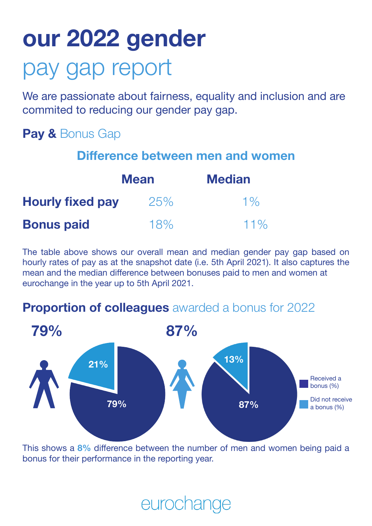# **our 2022 gender** pay gap report

We are passionate about fairness, equality and inclusion and are commited to reducing our gender pay gap.

### **Pay &** Bonus Gap

#### **Difference between men and women**

|                         | <b>Mean</b> | <b>Median</b> |  |
|-------------------------|-------------|---------------|--|
| <b>Hourly fixed pay</b> | 25%         | $1\%$         |  |
| <b>Bonus paid</b>       | 18%         | $11\%$        |  |

The table above shows our overall mean and median gender pay gap based on hourly rates of pay as at the snapshot date (i.e. 5th April 2021). It also captures the mean and the median difference between bonuses paid to men and women at eurochange in the year up to 5th April 2021.

#### **Proportion of colleagues** awarded a bonus for 2022



This shows a **8%** difference between the number of men and women being paid a bonus for their performance in the reporting year.

### eurochar